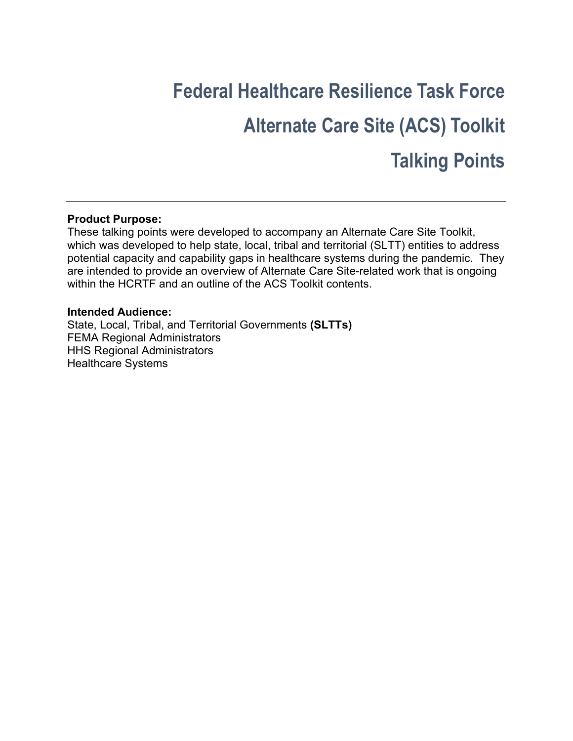# **Federal Healthcare Resilience Task Force Alternate Care Site (ACS) Toolkit Talking Points**

## **Product Purpose:**

These talking points were developed to accompany an Alternate Care Site Toolkit, which was developed to help state, local, tribal and territorial (SLTT) entities to address potential capacity and capability gaps in healthcare systems during the pandemic. They are intended to provide an overview of Alternate Care Site-related work that is ongoing within the HCRTF and an outline of the ACS Toolkit contents.

#### **Intended Audience:**

State, Local, Tribal, and Territorial Governments **(SLTTs)** FEMA Regional Administrators HHS Regional Administrators Healthcare Systems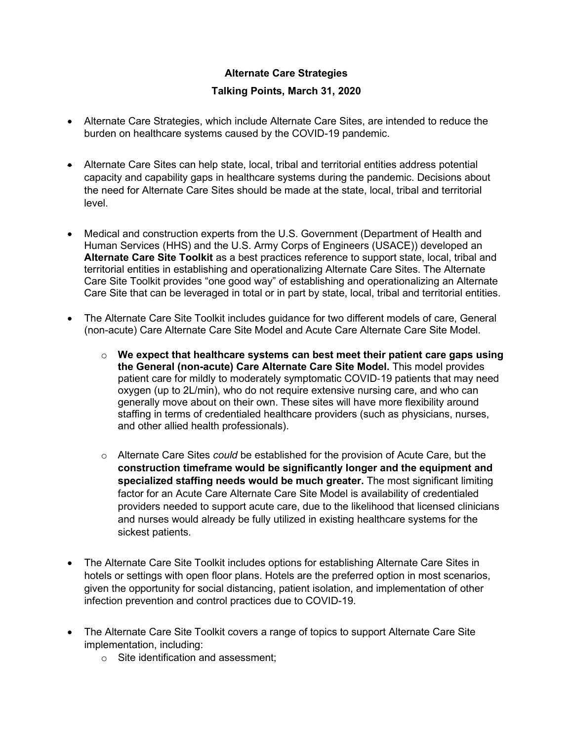## **Alternate Care Strategies**

### **Talking Points, March 31, 2020**

- Alternate Care Strategies, which include Alternate Care Sites, are intended to reduce the burden on healthcare systems caused by the COVID-19 pandemic.
- Alternate Care Sites can help state, local, tribal and territorial entities address potential capacity and capability gaps in healthcare systems during the pandemic. Decisions about the need for Alternate Care Sites should be made at the state, local, tribal and territorial level.
- Medical and construction experts from the U.S. Government (Department of Health and Human Services (HHS) and the U.S. Army Corps of Engineers (USACE)) developed an **Alternate Care Site Toolkit** as a best practices reference to support state, local, tribal and territorial entities in establishing and operationalizing Alternate Care Sites. The Alternate Care Site Toolkit provides "one good way" of establishing and operationalizing an Alternate Care Site that can be leveraged in total or in part by state, local, tribal and territorial entities.
- The Alternate Care Site Toolkit includes guidance for two different models of care, General (non-acute) Care Alternate Care Site Model and Acute Care Alternate Care Site Model.
	- o **We expect that healthcare systems can best meet their patient care gaps using the General (non-acute) Care Alternate Care Site Model.** This model provides patient care for mildly to moderately symptomatic COVID‐19 patients that may need oxygen (up to 2L/min), who do not require extensive nursing care, and who can generally move about on their own. These sites will have more flexibility around staffing in terms of credentialed healthcare providers (such as physicians, nurses, and other allied health professionals).
	- o Alternate Care Sites *could* be established for the provision of Acute Care, but the **construction timeframe would be significantly longer and the equipment and specialized staffing needs would be much greater.** The most significant limiting factor for an Acute Care Alternate Care Site Model is availability of credentialed providers needed to support acute care, due to the likelihood that licensed clinicians and nurses would already be fully utilized in existing healthcare systems for the sickest patients.
- The Alternate Care Site Toolkit includes options for establishing Alternate Care Sites in hotels or settings with open floor plans. Hotels are the preferred option in most scenarios, given the opportunity for social distancing, patient isolation, and implementation of other infection prevention and control practices due to COVID-19.
- The Alternate Care Site Toolkit covers a range of topics to support Alternate Care Site implementation, including:
	- o Site identification and assessment;